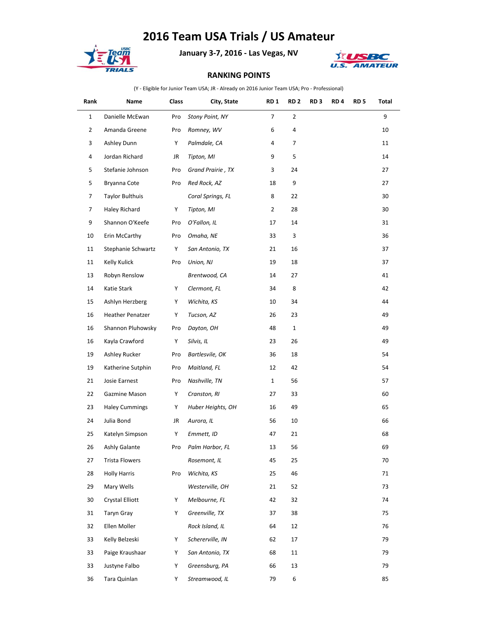## **2016 Team USA Trials / US Amateur**



**January 3-7, 2016 - Las Vegas, NV**



## **RANKING POINTS**

(Y - Eligible for Junior Team USA; JR - Already on 2016 Junior Team USA; Pro - Professional)

| Rank           | Name                   | Class | City, State       | RD <sub>1</sub> | RD <sub>2</sub>  | RD <sub>3</sub> | RD <sub>4</sub> | RD <sub>5</sub> | Total |
|----------------|------------------------|-------|-------------------|-----------------|------------------|-----------------|-----------------|-----------------|-------|
| $\mathbf{1}$   | Danielle McEwan        | Pro   | Stony Point, NY   | $\overline{7}$  | $\overline{2}$   |                 |                 |                 | 9     |
| $\overline{2}$ | Amanda Greene          | Pro   | Romney, WV        | 6               | 4                |                 |                 |                 | 10    |
| 3              | Ashley Dunn            | Y     | Palmdale, CA      | 4               | 7                |                 |                 |                 | 11    |
| 4              | Jordan Richard         | JR    | Tipton, MI        | 9               | 5                |                 |                 |                 | 14    |
| 5              | Stefanie Johnson       | Pro   | Grand Prairie, TX | 3               | 24               |                 |                 |                 | 27    |
| 5              | Bryanna Cote           | Pro   | Red Rock, AZ      | 18              | 9                |                 |                 |                 | 27    |
| 7              | <b>Taylor Bulthuis</b> |       | Coral Springs, FL | 8               | 22               |                 |                 |                 | 30    |
| 7              | Haley Richard          | Y     | Tipton, MI        | $\overline{2}$  | 28               |                 |                 |                 | 30    |
| 9              | Shannon O'Keefe        | Pro   | O'Fallon, IL      | 17              | 14               |                 |                 |                 | 31    |
| 10             | Erin McCarthy          | Pro   | Omaha, NE         | 33              | 3                |                 |                 |                 | 36    |
| 11             | Stephanie Schwartz     | Y     | San Antonio, TX   | 21              | 16               |                 |                 |                 | 37    |
| 11             | Kelly Kulick           | Pro   | Union, NJ         | 19              | 18               |                 |                 |                 | 37    |
| 13             | Robyn Renslow          |       | Brentwood, CA     | 14              | 27               |                 |                 |                 | 41    |
| 14             | Katie Stark            | Y     | Clermont, FL      | 34              | 8                |                 |                 |                 | 42    |
| 15             | Ashlyn Herzberg        | Υ     | Wichita, KS       | 10              | 34               |                 |                 |                 | 44    |
| 16             | Heather Penatzer       | Y     | Tucson, AZ        | 26              | 23               |                 |                 |                 | 49    |
| 16             | Shannon Pluhowsky      | Pro   | Dayton, OH        | 48              | $\mathbf{1}$     |                 |                 |                 | 49    |
| 16             | Kayla Crawford         | Υ     | Silvis, IL        | 23              | 26               |                 |                 |                 | 49    |
| 19             | Ashley Rucker          | Pro   | Bartlesvile, OK   | 36              | 18               |                 |                 |                 | 54    |
| 19             | Katherine Sutphin      | Pro   | Maitland, FL      | 12              | 42               |                 |                 |                 | 54    |
| 21             | Josie Earnest          | Pro   | Nashville, TN     | $\mathbf{1}$    | 56               |                 |                 |                 | 57    |
| 22             | Gazmine Mason          | Y     | Cranston, RI      | 27              | 33               |                 |                 |                 | 60    |
| 23             | <b>Haley Cummings</b>  | Y     | Huber Heights, OH | 16              | 49               |                 |                 |                 | 65    |
| 24             | Julia Bond             | JR    | Aurora, IL        | 56              | 10               |                 |                 |                 | 66    |
| 25             | Katelyn Simpson        | Y     | Emmett, ID        | 47              | 21               |                 |                 |                 | 68    |
| 26             | Ashly Galante          | Pro   | Palm Harbor, FL   | 13              | 56               |                 |                 |                 | 69    |
| 27             | <b>Trista Flowers</b>  |       | Rosemont, IL      | 45              | 25               |                 |                 |                 | 70    |
| 28             | <b>Holly Harris</b>    | Pro   | Wichita, KS       | 25              | 46               |                 |                 |                 | 71    |
| 29             | Mary Wells             |       | Westerville, OH   | 21              | 52               |                 |                 |                 | 73    |
| 30             | Crystal Elliott        | Y     | Melbourne, FL     | 42              | 32               |                 |                 |                 | 74    |
| 31             | Taryn Gray             | Υ     | Greenville, TX    | 37              | 38               |                 |                 |                 | 75    |
| 32             | Ellen Moller           |       | Rock Island, IL   | 64              | 12               |                 |                 |                 | 76    |
| 33             | Kelly Belzeski         | Υ     | Schererville, IN  | 62              | 17               |                 |                 |                 | 79    |
| 33             | Paige Kraushaar        | Y     | San Antonio, TX   | 68              | 11               |                 |                 |                 | 79    |
| 33             | Justyne Falbo          | Y     | Greensburg, PA    | 66              | 13               |                 |                 |                 | 79    |
| 36             | Tara Quinlan           | Y     | Streamwood, IL    | 79              | $\boldsymbol{6}$ |                 |                 |                 | 85    |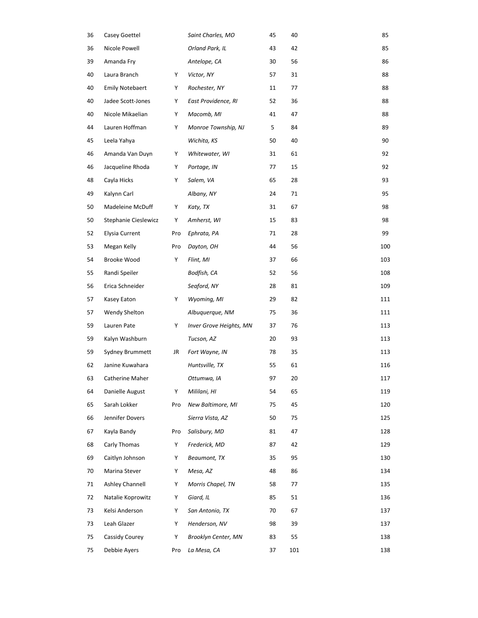| 36 | Casey Goettel          |     | Saint Charles, MO          | 45 | 40  | 85  |
|----|------------------------|-----|----------------------------|----|-----|-----|
| 36 | Nicole Powell          |     | Orland Park, IL            | 43 | 42  | 85  |
| 39 | Amanda Fry             |     | Antelope, CA               | 30 | 56  | 86  |
| 40 | Laura Branch           | Υ   | Victor, NY                 | 57 | 31  | 88  |
| 40 | <b>Emily Notebaert</b> | Υ   | Rochester, NY              | 11 | 77  | 88  |
| 40 | Jadee Scott-Jones      | Y   | East Providence, RI        | 52 | 36  | 88  |
| 40 | Nicole Mikaelian       | Y   | Macomb, MI                 | 41 | 47  | 88  |
| 44 | Lauren Hoffman         | Υ   | Monroe Township, NJ        | 5  | 84  | 89  |
| 45 | Leela Yahya            |     | Wichita, KS                | 50 | 40  | 90  |
| 46 | Amanda Van Duyn        | Y   | Whitewater, WI             | 31 | 61  | 92  |
| 46 | Jacqueline Rhoda       | Υ   | Portage, IN                | 77 | 15  | 92  |
| 48 | Cayla Hicks            | Υ   | Salem, VA                  | 65 | 28  | 93  |
| 49 | Kalynn Carl            |     | Albany, NY                 | 24 | 71  | 95  |
| 50 | Madeleine McDuff       | Υ   | Katy, TX                   | 31 | 67  | 98  |
| 50 | Stephanie Cieslewicz   | Υ   | Amherst, WI                | 15 | 83  | 98  |
| 52 | <b>Elysia Current</b>  | Pro | Ephrata, PA                | 71 | 28  | 99  |
| 53 | Megan Kelly            | Pro | Dayton, OH                 | 44 | 56  | 100 |
| 54 | Brooke Wood            | Υ   | Flint, MI                  | 37 | 66  | 103 |
| 55 | Randi Speiler          |     | Bodfish, CA                | 52 | 56  | 108 |
| 56 | Erica Schneider        |     | Seaford, NY                | 28 | 81  | 109 |
| 57 | Kasey Eaton            | Υ   | Wyoming, MI                | 29 | 82  | 111 |
| 57 | Wendy Shelton          |     | Albuquerque, NM            | 75 | 36  | 111 |
| 59 | Lauren Pate            | Υ   | Inver Grove Heights, MN    | 37 | 76  | 113 |
| 59 | Kalyn Washburn         |     | Tucson, AZ                 | 20 | 93  | 113 |
| 59 | Sydney Brummett        | JR  | Fort Wayne, IN             | 78 | 35  | 113 |
| 62 | Janine Kuwahara        |     | Huntsville, TX             | 55 | 61  | 116 |
| 63 | Catherine Maher        |     | Ottumwa, IA                | 97 | 20  | 117 |
| 64 | Danielle August        | Υ   | Mililani, HI               | 54 | 65  | 119 |
| 65 | Sarah Lokker           | Pro | New Baltimore, MI          | 75 | 45  | 120 |
| 66 | Jennifer Dovers        |     | Sierra Vista, AZ           | 50 | 75  | 125 |
| 67 | Kayla Bandy            | Pro | Salisbury, MD              | 81 | 47  | 128 |
| 68 | Carly Thomas           | Y   | Frederick, MD              | 87 | 42  | 129 |
| 69 | Caitlyn Johnson        | Υ   | Beaumont, TX               | 35 | 95  | 130 |
| 70 | Marina Stever          | Y   | Mesa, AZ                   | 48 | 86  | 134 |
| 71 | Ashley Channell        | Y   | Morris Chapel, TN          | 58 | 77  | 135 |
| 72 | Natalie Koprowitz      | Y   | Giard, IL                  | 85 | 51  | 136 |
| 73 | Kelsi Anderson         | Y   | San Antonio, TX            | 70 | 67  | 137 |
| 73 | Leah Glazer            | Y   | Henderson, NV              | 98 | 39  | 137 |
| 75 | Cassidy Courey         | Υ   | <b>Brooklyn Center, MN</b> | 83 | 55  | 138 |
| 75 | Debbie Ayers           | Pro | La Mesa, CA                | 37 | 101 | 138 |